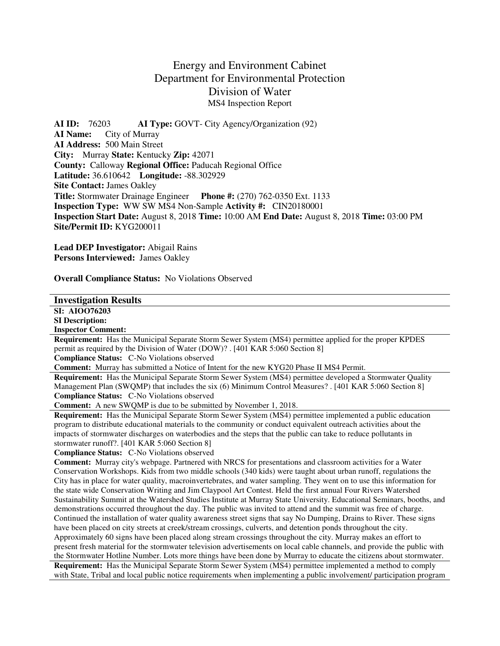# Energy and Environment Cabinet Department for Environmental Protection Division of Water MS4 Inspection Report

**AI ID:** 76203 **AI Type:** GOVT- City Agency/Organization (92) **AI Name:** City of Murray **AI Address:** 500 Main Street **City:** Murray **State:** Kentucky **Zip:** 42071 **County:** Calloway **Regional Office:** Paducah Regional Office **Latitude:** 36.610642 **Longitude:** -88.302929 **Site Contact:** James Oakley **Title:** Stormwater Drainage Engineer **Phone #:** (270) 762-0350 Ext. 1133 **Inspection Type:** WW SW MS4 Non-Sample **Activity #:** CIN20180001 **Inspection Start Date:** August 8, 2018 **Time:** 10:00 AM **End Date:** August 8, 2018 **Time:** 03:00 PM **Site/Permit ID:** KYG200011

**Lead DEP Investigator:** Abigail Rains **Persons Interviewed:** James Oakley

**Overall Compliance Status:** No Violations Observed

## **Investigation Results**

**SI: AIOO76203** 

**SI Description:** 

**Inspector Comment:** 

**Requirement:** Has the Municipal Separate Storm Sewer System (MS4) permittee applied for the proper KPDES permit as required by the Division of Water (DOW)? . [401 KAR 5:060 Section 8]

**Compliance Status:** C-No Violations observed

**Comment:** Murray has submitted a Notice of Intent for the new KYG20 Phase II MS4 Permit.

**Requirement:** Has the Municipal Separate Storm Sewer System (MS4) permittee developed a Stormwater Quality Management Plan (SWQMP) that includes the six (6) Minimum Control Measures? . [401 KAR 5:060 Section 8] **Compliance Status:** C-No Violations observed

**Comment:** A new SWQMP is due to be submitted by November 1, 2018.

**Requirement:** Has the Municipal Separate Storm Sewer System (MS4) permittee implemented a public education program to distribute educational materials to the community or conduct equivalent outreach activities about the impacts of stormwater discharges on waterbodies and the steps that the public can take to reduce pollutants in stormwater runoff?. [401 KAR 5:060 Section 8]

**Compliance Status:** C-No Violations observed

**Comment:** Murray city's webpage. Partnered with NRCS for presentations and classroom activities for a Water Conservation Workshops. Kids from two middle schools (340 kids) were taught about urban runoff, regulations the City has in place for water quality, macroinvertebrates, and water sampling. They went on to use this information for the state wide Conservation Writing and Jim Claypool Art Contest. Held the first annual Four Rivers Watershed Sustainability Summit at the Watershed Studies Institute at Murray State University. Educational Seminars, booths, and demonstrations occurred throughout the day. The public was invited to attend and the summit was free of charge. Continued the installation of water quality awareness street signs that say No Dumping, Drains to River. These signs have been placed on city streets at creek/stream crossings, culverts, and detention ponds throughout the city. Approximately 60 signs have been placed along stream crossings throughout the city. Murray makes an effort to present fresh material for the stormwater television advertisements on local cable channels, and provide the public with the Stormwater Hotline Number. Lots more things have been done by Murray to educate the citizens about stormwater.

**Requirement:** Has the Municipal Separate Storm Sewer System (MS4) permittee implemented a method to comply with State, Tribal and local public notice requirements when implementing a public involvement/ participation program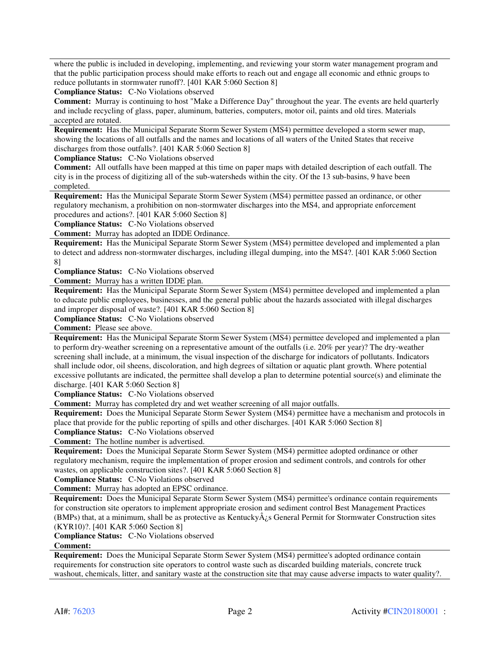where the public is included in developing, implementing, and reviewing your storm water management program and that the public participation process should make efforts to reach out and engage all economic and ethnic groups to reduce pollutants in stormwater runoff?. [401 KAR 5:060 Section 8]

**Compliance Status:** C-No Violations observed

**Comment:** Murray is continuing to host "Make a Difference Day" throughout the year. The events are held quarterly and include recycling of glass, paper, aluminum, batteries, computers, motor oil, paints and old tires. Materials accepted are rotated.

**Requirement:** Has the Municipal Separate Storm Sewer System (MS4) permittee developed a storm sewer map, showing the locations of all outfalls and the names and locations of all waters of the United States that receive discharges from those outfalls?. [401 KAR 5:060 Section 8]

**Compliance Status:** C-No Violations observed

**Comment:** All outfalls have been mapped at this time on paper maps with detailed description of each outfall. The city is in the process of digitizing all of the sub-watersheds within the city. Of the 13 sub-basins, 9 have been completed.

**Requirement:** Has the Municipal Separate Storm Sewer System (MS4) permittee passed an ordinance, or other regulatory mechanism, a prohibition on non-stormwater discharges into the MS4, and appropriate enforcement procedures and actions?. [401 KAR 5:060 Section 8]

**Compliance Status:** C-No Violations observed

**Comment:** Murray has adopted an IDDE Ordinance.

**Requirement:** Has the Municipal Separate Storm Sewer System (MS4) permittee developed and implemented a plan to detect and address non-stormwater discharges, including illegal dumping, into the MS4?. [401 KAR 5:060 Section 8]

**Compliance Status:** C-No Violations observed

**Comment:** Murray has a written IDDE plan.

**Requirement:** Has the Municipal Separate Storm Sewer System (MS4) permittee developed and implemented a plan to educate public employees, businesses, and the general public about the hazards associated with illegal discharges and improper disposal of waste?. [401 KAR 5:060 Section 8]

**Compliance Status:** C-No Violations observed

**Comment:** Please see above.

**Requirement:** Has the Municipal Separate Storm Sewer System (MS4) permittee developed and implemented a plan to perform dry-weather screening on a representative amount of the outfalls (i.e. 20% per year)? The dry-weather screening shall include, at a minimum, the visual inspection of the discharge for indicators of pollutants. Indicators shall include odor, oil sheens, discoloration, and high degrees of siltation or aquatic plant growth. Where potential excessive pollutants are indicated, the permittee shall develop a plan to determine potential source(s) and eliminate the discharge. [401 KAR 5:060 Section 8]

**Compliance Status:** C-No Violations observed

**Comment:** Murray has completed dry and wet weather screening of all major outfalls.

**Requirement:** Does the Municipal Separate Storm Sewer System (MS4) permittee have a mechanism and protocols in place that provide for the public reporting of spills and other discharges. [401 KAR 5:060 Section 8] **Compliance Status:** C-No Violations observed

**Comment:** The hotline number is advertised.

**Requirement:** Does the Municipal Separate Storm Sewer System (MS4) permittee adopted ordinance or other regulatory mechanism, require the implementation of proper erosion and sediment controls, and controls for other wastes, on applicable construction sites?. [401 KAR 5:060 Section 8]

**Compliance Status:** C-No Violations observed

**Comment:** Murray has adopted an EPSC ordinance.

**Requirement:** Does the Municipal Separate Storm Sewer System (MS4) permittee's ordinance contain requirements for construction site operators to implement appropriate erosion and sediment control Best Management Practices (BMPs) that, at a minimum, shall be as protective as Kentucky $\hat{A}_{\lambda}$ s General Permit for Stormwater Construction sites (KYR10)?. [401 KAR 5:060 Section 8]

**Compliance Status:** C-No Violations observed

### **Comment:**

**Requirement:** Does the Municipal Separate Storm Sewer System (MS4) permittee's adopted ordinance contain requirements for construction site operators to control waste such as discarded building materials, concrete truck washout, chemicals, litter, and sanitary waste at the construction site that may cause adverse impacts to water quality?.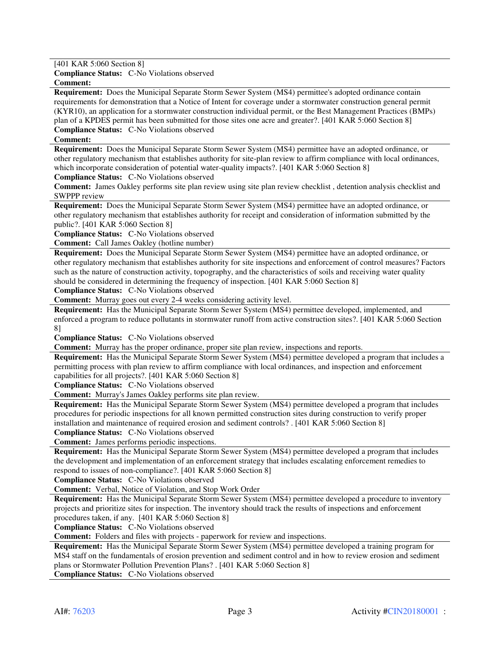[401 KAR 5:060 Section 8]

**Compliance Status:** C-No Violations observed

**Comment:** 

**Requirement:** Does the Municipal Separate Storm Sewer System (MS4) permittee's adopted ordinance contain requirements for demonstration that a Notice of Intent for coverage under a stormwater construction general permit (KYR10), an application for a stormwater construction individual permit, or the Best Management Practices (BMPs) plan of a KPDES permit has been submitted for those sites one acre and greater?. [401 KAR 5:060 Section 8]

**Compliance Status:** C-No Violations observed

### **Comment:**

**Requirement:** Does the Municipal Separate Storm Sewer System (MS4) permittee have an adopted ordinance, or other regulatory mechanism that establishes authority for site-plan review to affirm compliance with local ordinances, which incorporate consideration of potential water-quality impacts?. [401 KAR 5:060 Section 8]

**Compliance Status:** C-No Violations observed

**Comment:** James Oakley performs site plan review using site plan review checklist , detention analysis checklist and SWPPP review

**Requirement:** Does the Municipal Separate Storm Sewer System (MS4) permittee have an adopted ordinance, or other regulatory mechanism that establishes authority for receipt and consideration of information submitted by the public?. [401 KAR 5:060 Section 8]

**Compliance Status:** C-No Violations observed

**Comment:** Call James Oakley (hotline number)

**Requirement:** Does the Municipal Separate Storm Sewer System (MS4) permittee have an adopted ordinance, or other regulatory mechanism that establishes authority for site inspections and enforcement of control measures? Factors such as the nature of construction activity, topography, and the characteristics of soils and receiving water quality should be considered in determining the frequency of inspection. [401 KAR 5:060 Section 8]

**Compliance Status:** C-No Violations observed

**Comment:** Murray goes out every 2-4 weeks considering activity level.

**Requirement:** Has the Municipal Separate Storm Sewer System (MS4) permittee developed, implemented, and enforced a program to reduce pollutants in stormwater runoff from active construction sites?. [401 KAR 5:060 Section 8]

**Compliance Status:** C-No Violations observed

**Comment:** Murray has the proper ordinance, proper site plan review, inspections and reports.

**Requirement:** Has the Municipal Separate Storm Sewer System (MS4) permittee developed a program that includes a permitting process with plan review to affirm compliance with local ordinances, and inspection and enforcement capabilities for all projects?. [401 KAR 5:060 Section 8]

**Compliance Status:** C-No Violations observed

**Comment:** Murray's James Oakley performs site plan review.

**Requirement:** Has the Municipal Separate Storm Sewer System (MS4) permittee developed a program that includes procedures for periodic inspections for all known permitted construction sites during construction to verify proper installation and maintenance of required erosion and sediment controls? . [401 KAR 5:060 Section 8]

**Compliance Status:** C-No Violations observed

**Comment:** James performs periodic inspections.

**Requirement:** Has the Municipal Separate Storm Sewer System (MS4) permittee developed a program that includes the development and implementation of an enforcement strategy that includes escalating enforcement remedies to respond to issues of non-compliance?. [401 KAR 5:060 Section 8]

**Compliance Status:** C-No Violations observed

**Comment:** Verbal, Notice of Violation, and Stop Work Order

**Requirement:** Has the Municipal Separate Storm Sewer System (MS4) permittee developed a procedure to inventory projects and prioritize sites for inspection. The inventory should track the results of inspections and enforcement procedures taken, if any. [401 KAR 5:060 Section 8]

**Compliance Status:** C-No Violations observed

**Comment:** Folders and files with projects - paperwork for review and inspections.

**Requirement:** Has the Municipal Separate Storm Sewer System (MS4) permittee developed a training program for MS4 staff on the fundamentals of erosion prevention and sediment control and in how to review erosion and sediment plans or Stormwater Pollution Prevention Plans? . [401 KAR 5:060 Section 8]

**Compliance Status:** C-No Violations observed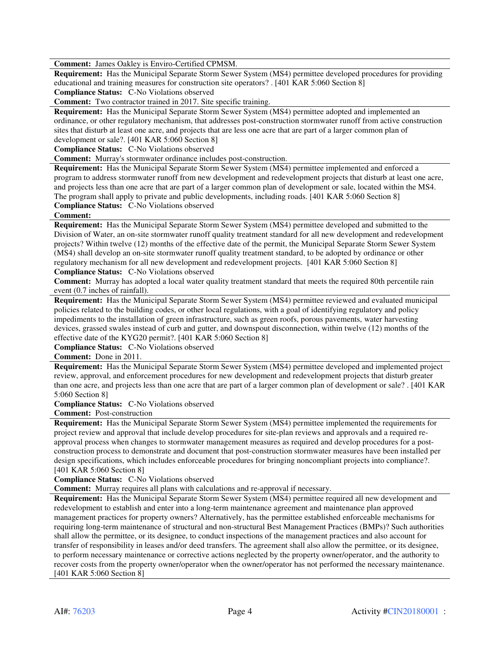**Comment:** James Oakley is Enviro-Certified CPMSM.

**Requirement:** Has the Municipal Separate Storm Sewer System (MS4) permittee developed procedures for providing educational and training measures for construction site operators? . [401 KAR 5:060 Section 8] **Compliance Status:** C-No Violations observed

**Comment:** Two contractor trained in 2017. Site specific training.

**Requirement:** Has the Municipal Separate Storm Sewer System (MS4) permittee adopted and implemented an ordinance, or other regulatory mechanism, that addresses post-construction stormwater runoff from active construction sites that disturb at least one acre, and projects that are less one acre that are part of a larger common plan of development or sale?. [401 KAR 5:060 Section 8]

**Compliance Status:** C-No Violations observed

**Comment:** Murray's stormwater ordinance includes post-construction.

**Requirement:** Has the Municipal Separate Storm Sewer System (MS4) permittee implemented and enforced a program to address stormwater runoff from new development and redevelopment projects that disturb at least one acre, and projects less than one acre that are part of a larger common plan of development or sale, located within the MS4. The program shall apply to private and public developments, including roads. [401 KAR 5:060 Section 8]

**Compliance Status:** C-No Violations observed

## **Comment:**

**Requirement:** Has the Municipal Separate Storm Sewer System (MS4) permittee developed and submitted to the Division of Water, an on-site stormwater runoff quality treatment standard for all new development and redevelopment projects? Within twelve (12) months of the effective date of the permit, the Municipal Separate Storm Sewer System (MS4) shall develop an on-site stormwater runoff quality treatment standard, to be adopted by ordinance or other regulatory mechanism for all new development and redevelopment projects. [401 KAR 5:060 Section 8]

**Compliance Status:** C-No Violations observed

**Comment:** Murray has adopted a local water quality treatment standard that meets the required 80th percentile rain event (0.7 inches of rainfall).

**Requirement:** Has the Municipal Separate Storm Sewer System (MS4) permittee reviewed and evaluated municipal policies related to the building codes, or other local regulations, with a goal of identifying regulatory and policy impediments to the installation of green infrastructure, such as green roofs, porous pavements, water harvesting devices, grassed swales instead of curb and gutter, and downspout disconnection, within twelve (12) months of the effective date of the KYG20 permit?. [401 KAR 5:060 Section 8]

**Compliance Status:** C-No Violations observed

**Comment:** Done in 2011.

**Requirement:** Has the Municipal Separate Storm Sewer System (MS4) permittee developed and implemented project review, approval, and enforcement procedures for new development and redevelopment projects that disturb greater than one acre, and projects less than one acre that are part of a larger common plan of development or sale? . [401 KAR 5:060 Section 8]

**Compliance Status:** C-No Violations observed

**Comment:** Post-construction

**Requirement:** Has the Municipal Separate Storm Sewer System (MS4) permittee implemented the requirements for project review and approval that include develop procedures for site-plan reviews and approvals and a required reapproval process when changes to stormwater management measures as required and develop procedures for a postconstruction process to demonstrate and document that post-construction stormwater measures have been installed per design specifications, which includes enforceable procedures for bringing noncompliant projects into compliance?. [401 KAR 5:060 Section 8]

**Compliance Status:** C-No Violations observed

**Comment:** Murray requires all plans with calculations and re-approval if necessary.

**Requirement:** Has the Municipal Separate Storm Sewer System (MS4) permittee required all new development and redevelopment to establish and enter into a long-term maintenance agreement and maintenance plan approved management practices for property owners? Alternatively, has the permittee established enforceable mechanisms for requiring long-term maintenance of structural and non-structural Best Management Practices (BMPs)? Such authorities shall allow the permittee, or its designee, to conduct inspections of the management practices and also account for transfer of responsibility in leases and/or deed transfers. The agreement shall also allow the permittee, or its designee, to perform necessary maintenance or corrective actions neglected by the property owner/operator, and the authority to recover costs from the property owner/operator when the owner/operator has not performed the necessary maintenance. [401 KAR 5:060 Section 8]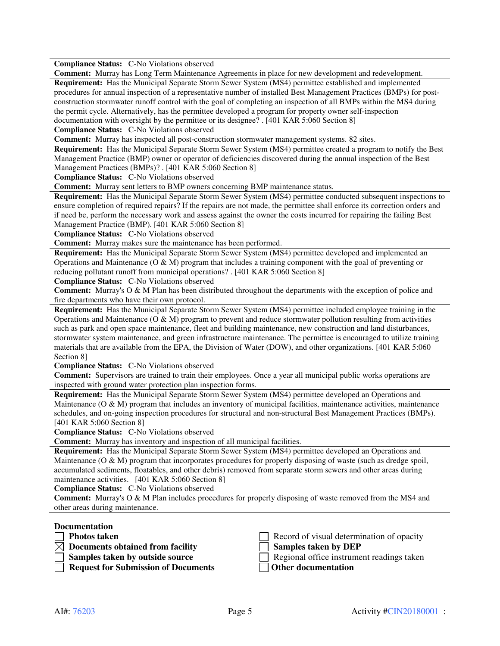**Compliance Status:** C-No Violations observed

**Comment:** Murray has Long Term Maintenance Agreements in place for new development and redevelopment.

**Requirement:** Has the Municipal Separate Storm Sewer System (MS4) permittee established and implemented procedures for annual inspection of a representative number of installed Best Management Practices (BMPs) for postconstruction stormwater runoff control with the goal of completing an inspection of all BMPs within the MS4 during the permit cycle. Alternatively, has the permittee developed a program for property owner self-inspection documentation with oversight by the permittee or its designee? . [401 KAR 5:060 Section 8]

**Compliance Status:** C-No Violations observed

**Comment:** Murray has inspected all post-construction stormwater management systems. 82 sites.

**Requirement:** Has the Municipal Separate Storm Sewer System (MS4) permittee created a program to notify the Best Management Practice (BMP) owner or operator of deficiencies discovered during the annual inspection of the Best Management Practices (BMPs)? . [401 KAR 5:060 Section 8]

**Compliance Status:** C-No Violations observed

**Comment:** Murray sent letters to BMP owners concerning BMP maintenance status.

**Requirement:** Has the Municipal Separate Storm Sewer System (MS4) permittee conducted subsequent inspections to ensure completion of required repairs? If the repairs are not made, the permittee shall enforce its correction orders and if need be, perform the necessary work and assess against the owner the costs incurred for repairing the failing Best Management Practice (BMP). [401 KAR 5:060 Section 8]

**Compliance Status:** C-No Violations observed

**Comment:** Murray makes sure the maintenance has been performed.

**Requirement:** Has the Municipal Separate Storm Sewer System (MS4) permittee developed and implemented an Operations and Maintenance  $(O & M)$  program that includes a training component with the goal of preventing or reducing pollutant runoff from municipal operations? . [401 KAR 5:060 Section 8]

**Compliance Status:** C-No Violations observed

**Comment:** Murray's O & M Plan has been distributed throughout the departments with the exception of police and fire departments who have their own protocol.

**Requirement:** Has the Municipal Separate Storm Sewer System (MS4) permittee included employee training in the Operations and Maintenance  $(O & M)$  program to prevent and reduce stormwater pollution resulting from activities such as park and open space maintenance, fleet and building maintenance, new construction and land disturbances, stormwater system maintenance, and green infrastructure maintenance. The permittee is encouraged to utilize training materials that are available from the EPA, the Division of Water (DOW), and other organizations. [401 KAR 5:060 Section 8]

**Compliance Status:** C-No Violations observed

**Comment:** Supervisors are trained to train their employees. Once a year all municipal public works operations are inspected with ground water protection plan inspection forms.

**Requirement:** Has the Municipal Separate Storm Sewer System (MS4) permittee developed an Operations and Maintenance (O & M) program that includes an inventory of municipal facilities, maintenance activities, maintenance schedules, and on-going inspection procedures for structural and non-structural Best Management Practices (BMPs). [401 KAR 5:060 Section 8]

**Compliance Status:** C-No Violations observed

**Comment:** Murray has inventory and inspection of all municipal facilities.

**Requirement:** Has the Municipal Separate Storm Sewer System (MS4) permittee developed an Operations and Maintenance  $(O & M)$  program that incorporates procedures for properly disposing of waste (such as dredge spoil, accumulated sediments, floatables, and other debris) removed from separate storm sewers and other areas during maintenance activities. [401 KAR 5:060 Section 8]

**Compliance Status:** C-No Violations observed

**Comment:** Murray's O & M Plan includes procedures for properly disposing of waste removed from the MS4 and other areas during maintenance.

#### **Documentation**

- 
- **Documents obtained from facility Samples taken by DEP**
	-
	- **Request for Submission of Documents**

**Photos taken Record of visual determination of opacity** 

**Samples taken by outside source** <br> **Regional office instrument readings taken**<br> **Regional office instrument readings taken**<br> **Regional office instrument readings taken**